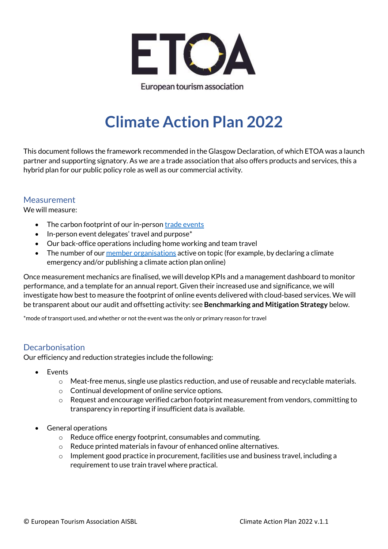

European tourism association

# **Climate Action Plan 2022**

This document follows the framework recommended in the Glasgow Declaration, of which ETOA was a launch partner and supporting signatory. As we are a trade association that also offers products and services, this a hybrid plan for our public policy role as well as our commercial activity.

### **Measurement**

We will measure:

- The carbon footprint of our in-perso[n trade events](https://www.etoa.org/events/)
- In-person event delegates' travel and purpose\*
- Our back-office operations including home working and team travel
- The number of our member [organisations](https://www.etoa.org/member-search/) active on topic (for example, by declaring a climate emergency and/or publishing a climate action plan online)

Once measurement mechanics are finalised, we will develop KPIs and a management dashboard to monitor performance, and a template for an annual report. Given their increased use and significance, we will investigate how best to measure the footprint of online events delivered with cloud-based services. We will be transparent about our audit and offsetting activity: see **Benchmarking and Mitigation Strategy** below.

\*mode of transport used, and whether or not the event was the only or primary reason for travel

#### Decarbonisation

Our efficiency and reduction strategies include the following:

- Events
	- o Meat-free menus, single use plastics reduction, and use of reusable and recyclable materials.
	- o Continual development of online service options.
	- $\circ$  Request and encourage verified carbon footprint measurement from vendors, committing to transparency in reporting if insufficient data is available.
- General operations
	- o Reduce office energy footprint, consumables and commuting.
	- o Reduce printed materials in favour of enhanced online alternatives.
	- $\circ$  Implement good practice in procurement, facilities use and business travel, including a requirement to use train travel where practical.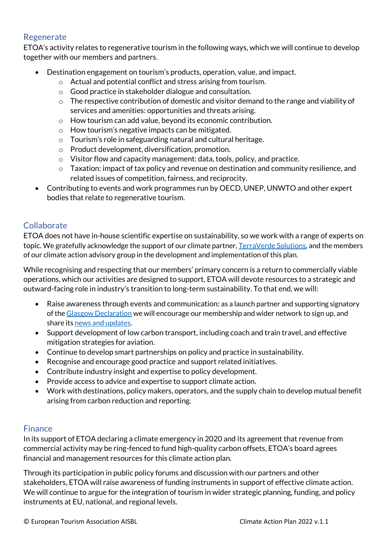# Regenerate

ETOA's activity relates to regenerative tourism in the following ways, which we will continue to develop together with our members and partners.

- Destination engagement on tourism's products, operation, value, and impact.
	- o Actual and potential conflict and stress arising from tourism.
	- o Good practice in stakeholder dialogue and consultation.
	- $\circ$  The respective contribution of domestic and visitor demand to the range and viability of services and amenities: opportunities and threats arising.
	- o How tourism can add value, beyond its economic contribution.
	- $\circ$  How tourism's negative impacts can be mitigated.
	- o Tourism's role in safeguarding natural and cultural heritage.
	- o Product development, diversification, promotion.
	- o Visitor flow and capacity management: data, tools, policy, and practice.
	- $\circ$  Taxation: impact of tax policy and revenue on destination and community resilience, and related issues of competition, fairness, and reciprocity.
- Contributing to events and work programmes run by OECD, UNEP, UNWTO and other expert bodies that relate to regenerative tourism.

# Collaborate

ETOA does not have in-house scientific expertise on sustainability, so we work with a range of experts on topic. We gratefully acknowledge the support of our climate partner, [TerraVerde Solutions,](https://terraverde-solutions.com/) and the members of our climate action advisory group in the development and implementation of this plan.

While recognising and respecting that our members' primary concern is a return to commercially viable operations, which our activities are designed to support, ETOA will devote resources to a strategic and outward-facing role in industry's transition to long-term sustainability. To that end, we will:

- Raise awareness through events and communication: as a launch partner and supporting signatory of th[e Glasgow Declaration](https://www.oneplanetnetwork.org/programmes/sustainable-tourism/glasgow-declaration/launch-partners) we will encourage our membership and wider network to sign up, and share it[s news and updates](https://mailchi.mp/3381c532392b/newsletter-glasgow-declaration-on-climate-action-in-tourism?e=5659b69886).
- Support development of low carbon transport, including coach and train travel, and effective mitigation strategies for aviation.
- Continue to develop smart partnerships on policy and practice in sustainability.
- Recognise and encourage good practice and support related initiatives.
- Contribute industry insight and expertise to policy development.
- Provide access to advice and expertise to support climate action.
- Work with destinations, policy makers, operators, and the supply chain to develop mutual benefit arising from carbon reduction and reporting.

# Finance

In its support of ETOA declaring a climate emergency in 2020 and its agreement that revenue from commercial activity may be ring-fenced to fund high-quality carbon offsets, ETOA's board agrees financial and management resources for this climate action plan.

Through its participation in public policy forums and discussion with our partners and other stakeholders, ETOA will raise awareness of funding instruments in support of effective climate action. We will continue to argue for the integration of tourism in wider strategic planning, funding, and policy instruments at EU, national, and regional levels.